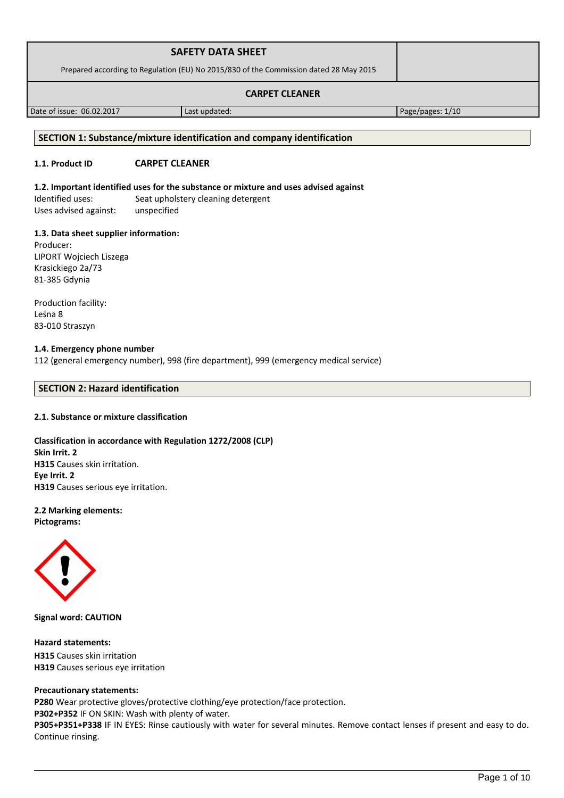| <b>SAFETY DATA SHEET</b>                                                              |  |
|---------------------------------------------------------------------------------------|--|
| Prepared according to Regulation (EU) No 2015/830 of the Commission dated 28 May 2015 |  |
| <b>CARPET CLEANER</b>                                                                 |  |

Date of issue: 06.02.2017 Last updated: Page/pages: 1/10

# **SECTION 1: Substance/mixture identification and company identification**

# **1.1. Product ID CARPET CLEANER**

# **1.2. Important identified uses for the substance or mixture and uses advised against**

Identified uses: Seat upholstery cleaning detergent Uses advised against: unspecified

# **1.3. Data sheet supplier information:**

Producer: LIPORT Wojciech Liszega Krasickiego 2a/73 81-385 Gdynia

Production facility: Leśna 8 83-010 Straszyn

#### **1.4. Emergency phone number** 112 (general emergency number), 998 (fire department), 999 (emergency medical service)

## **SECTION 2: Hazard identification**

# **2.1. Substance or mixture classification**

# **Classification in accordance with Regulation 1272/2008 (CLP) Skin Irrit. 2 H315** Causes skin irritation. **Eye Irrit. 2 H319** Causes serious eye irritation.

## **2.2 Marking elements: Pictograms:**



**Signal word: CAUTION**

**Hazard statements: H315** Causes skin irritation **H319** Causes serious eye irritation

#### **Precautionary statements:**

**P280** Wear protective gloves/protective clothing/eye protection/face protection.

**P302+P352** IF ON SKIN: Wash with plenty of water.

**P305+P351+P338** IF IN EYES: Rinse cautiously with water for several minutes. Remove contact lenses if present and easy to do. Continue rinsing.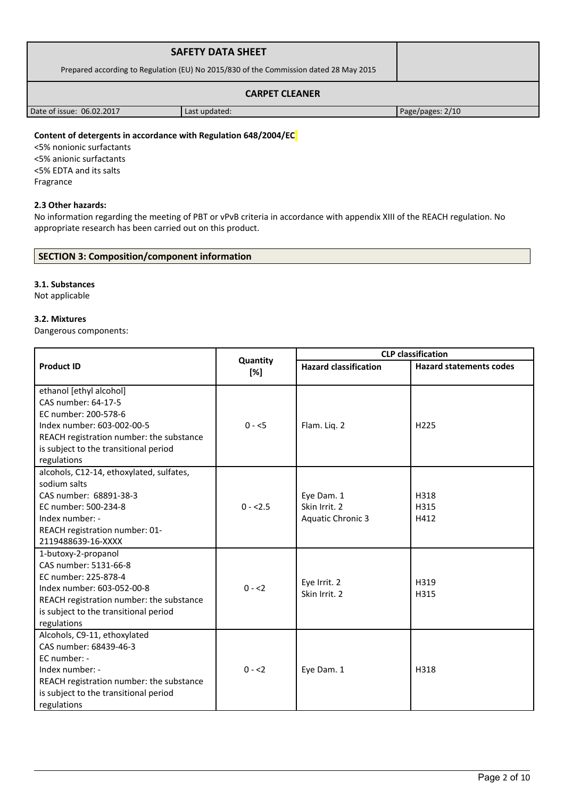|                                                                                       | <b>SAFETY DATA SHEET</b> |                  |
|---------------------------------------------------------------------------------------|--------------------------|------------------|
| Prepared according to Regulation (EU) No 2015/830 of the Commission dated 28 May 2015 |                          |                  |
| <b>CARPET CLEANER</b>                                                                 |                          |                  |
| Date of issue: 06.02.2017                                                             | Last updated:            | Page/pages: 2/10 |

# **Content of detergents in accordance with Regulation 648/2004/EC**

<5% nonionic surfactants <5% anionic surfactants <5% EDTA and its salts Fragrance

#### **2.3 Other hazards:**

No information regarding the meeting of PBT or vPvB criteria in accordance with appendix XIII of the REACH regulation. No appropriate research has been carried out on this product.

# **SECTION 3: Composition/component information**

#### **3.1. Substances**

Not applicable

#### **3.2. Mixtures**

Dangerous components:

|                                          |                 |                              | <b>CLP</b> classification      |
|------------------------------------------|-----------------|------------------------------|--------------------------------|
| <b>Product ID</b>                        | Quantity<br>[%] | <b>Hazard classification</b> | <b>Hazard statements codes</b> |
| ethanol [ethyl alcohol]                  |                 |                              |                                |
| CAS number: 64-17-5                      |                 |                              |                                |
| EC number: 200-578-6                     |                 |                              |                                |
| Index number: 603-002-00-5               | $0 - 5$         | Flam. Liq. 2                 | H <sub>225</sub>               |
| REACH registration number: the substance |                 |                              |                                |
| is subject to the transitional period    |                 |                              |                                |
| regulations                              |                 |                              |                                |
| alcohols, C12-14, ethoxylated, sulfates, |                 |                              |                                |
| sodium salts                             |                 |                              |                                |
| CAS number: 68891-38-3                   |                 | Eye Dam. 1                   | H318                           |
| EC number: 500-234-8                     | $0 - 2.5$       | Skin Irrit. 2                | H315                           |
| Index number: -                          |                 | <b>Aquatic Chronic 3</b>     | H412                           |
| REACH registration number: 01-           |                 |                              |                                |
| 2119488639-16-XXXX                       |                 |                              |                                |
| 1-butoxy-2-propanol                      |                 |                              |                                |
| CAS number: 5131-66-8                    |                 |                              |                                |
| EC number: 225-878-4                     |                 | Eye Irrit. 2                 | H319                           |
| Index number: 603-052-00-8               | $0 - 2$         | Skin Irrit. 2                | H315                           |
| REACH registration number: the substance |                 |                              |                                |
| is subject to the transitional period    |                 |                              |                                |
| regulations                              |                 |                              |                                |
| Alcohols, C9-11, ethoxylated             |                 |                              |                                |
| CAS number: 68439-46-3                   |                 |                              |                                |
| EC number: -                             |                 |                              |                                |
| Index number: -                          | $0 - 2$         | Eye Dam. 1                   | H318                           |
| REACH registration number: the substance |                 |                              |                                |
| is subject to the transitional period    |                 |                              |                                |
| regulations                              |                 |                              |                                |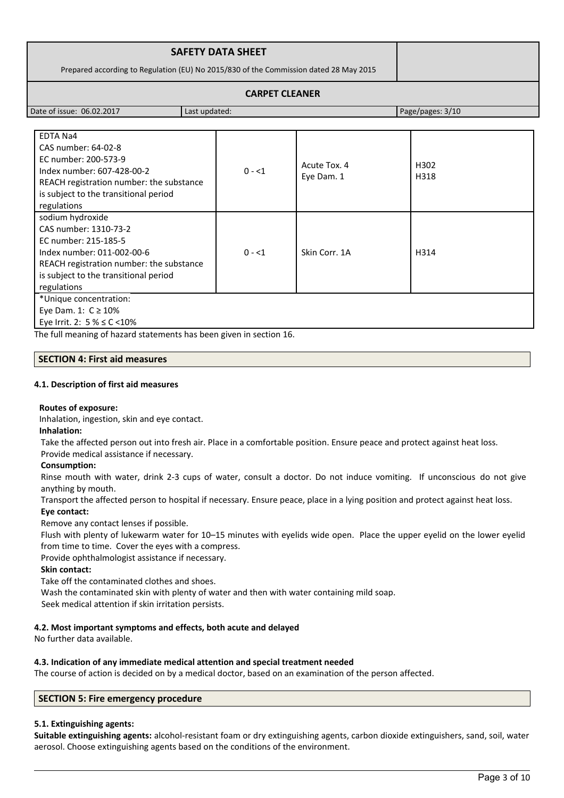| <b>SAFETY DATA SHEET</b>                                                              |  |
|---------------------------------------------------------------------------------------|--|
| Prepared according to Regulation (EU) No 2015/830 of the Commission dated 28 May 2015 |  |
| <b>CARPET CLEANER</b>                                                                 |  |

Date of issue: 06.02.2017 Last updated: Page/pages: 3/10

| EDTA Na4                                 |         |               |      |
|------------------------------------------|---------|---------------|------|
| CAS number: 64-02-8                      |         |               |      |
| EC number: 200-573-9                     |         |               |      |
| Index number: 607-428-00-2               | $0 - 1$ | Acute Tox. 4  | H302 |
| REACH registration number: the substance |         | Eye Dam. 1    | H318 |
| is subject to the transitional period    |         |               |      |
| regulations                              |         |               |      |
| sodium hydroxide                         |         |               |      |
| CAS number: 1310-73-2                    |         |               |      |
| EC number: 215-185-5                     |         |               |      |
| Index number: 011-002-00-6               | $0 - 1$ | Skin Corr. 1A | H314 |
| REACH registration number: the substance |         |               |      |
| is subject to the transitional period    |         |               |      |
| regulations                              |         |               |      |
| *Unique concentration:                   |         |               |      |
| Eye Dam. 1: $C \ge 10\%$                 |         |               |      |
| Eye Irrit. 2: $5\% \leq C \leq 10\%$     |         |               |      |

The full meaning of hazard statements has been given in section 16.

# **SECTION 4: First aid measures**

## **4.1. Description of first aid measures**

#### **Routes of exposure:**

Inhalation, ingestion, skin and eye contact.

**Inhalation:**

Take the affected person out into fresh air. Place in a comfortable position. Ensure peace and protect against heat loss.

Provide medical assistance if necessary.

# **Consumption:**

Rinse mouth with water, drink 2-3 cups of water, consult a doctor. Do not induce vomiting. If unconscious do not give anything by mouth.

Transport the affected person to hospital if necessary. Ensure peace, place in a lying position and protect against heat loss. **Eye contact:**

Remove any contact lenses if possible.

Flush with plenty of lukewarm water for 10–15 minutes with eyelids wide open. Place the upper eyelid on the lower eyelid from time to time. Cover the eyes with a compress.

Provide ophthalmologist assistance if necessary.

**Skin contact:**

Take off the contaminated clothes and shoes.

Wash the contaminated skin with plenty of water and then with water containing mild soap.

Seek medical attention if skin irritation persists.

# **4.2. Most important symptoms and effects, both acute and delayed**

No further data available.

# **4.3. Indication of any immediate medical attention and special treatment needed**

The course of action is decided on by a medical doctor, based on an examination of the person affected.

# **SECTION 5: Fire emergency procedure**

# **5.1. Extinguishing agents:**

**Suitable extinguishing agents:** alcohol-resistant foam or dry extinguishing agents, carbon dioxide extinguishers, sand, soil, water aerosol. Choose extinguishing agents based on the conditions of the environment.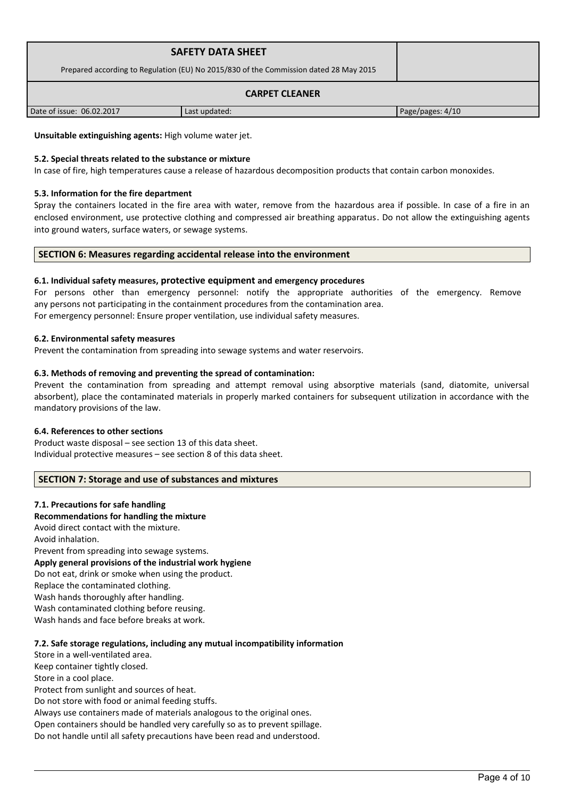| <b>SAFETY DATA SHEET</b><br>Prepared according to Regulation (EU) No 2015/830 of the Commission dated 28 May 2015 |               |                  |  |
|-------------------------------------------------------------------------------------------------------------------|---------------|------------------|--|
| <b>CARPET CLEANER</b>                                                                                             |               |                  |  |
| Date of issue: 06.02.2017                                                                                         | Last updated: | Page/pages: 4/10 |  |

**Unsuitable extinguishing agents:** High volume water jet.

#### **5.2. Special threats related to the substance or mixture**

In case of fire, high temperatures cause a release of hazardous decomposition products that contain carbon monoxides.

#### **5.3. Information for the fire department**

Spray the containers located in the fire area with water, remove from the hazardous area if possible. In case of a fire in an enclosed environment, use protective clothing and compressed air breathing apparatus. Do not allow the extinguishing agents into ground waters, surface waters, or sewage systems.

#### **SECTION 6: Measures regarding accidental release into the environment**

#### **6.1. Individual safety measures, protective equipment and emergency procedures**

For persons other than emergency personnel: notify the appropriate authorities of the emergency. Remove any persons not participating in the containment procedures from the contamination area. For emergency personnel: Ensure proper ventilation, use individual safety measures.

#### **6.2. Environmental safety measures**

Prevent the contamination from spreading into sewage systems and water reservoirs.

#### **6.3. Methods of removing and preventing the spread of contamination:**

Prevent the contamination from spreading and attempt removal using absorptive materials (sand, diatomite, universal absorbent), place the contaminated materials in properly marked containers for subsequent utilization in accordance with the mandatory provisions of the law.

#### **6.4. References to other sections**

Product waste disposal – see section 13 of this data sheet. Individual protective measures – see section 8 of this data sheet.

#### **SECTION 7: Storage and use of substances and mixtures**

#### **7.1. Precautions for safe handling**

#### **Recommendations for handling the mixture**

Avoid direct contact with the mixture.

Avoid inhalation.

Prevent from spreading into sewage systems. **Apply general provisions of the industrial work hygiene**  Do not eat, drink or smoke when using the product. Replace the contaminated clothing. Wash hands thoroughly after handling. Wash contaminated clothing before reusing. Wash hands and face before breaks at work.

#### **7.2. Safe storage regulations, including any mutual incompatibility information**

Store in a well-ventilated area. Keep container tightly closed. Store in a cool place. Protect from sunlight and sources of heat.

Do not store with food or animal feeding stuffs.

Always use containers made of materials analogous to the original ones.

Open containers should be handled very carefully so as to prevent spillage.

Do not handle until all safety precautions have been read and understood.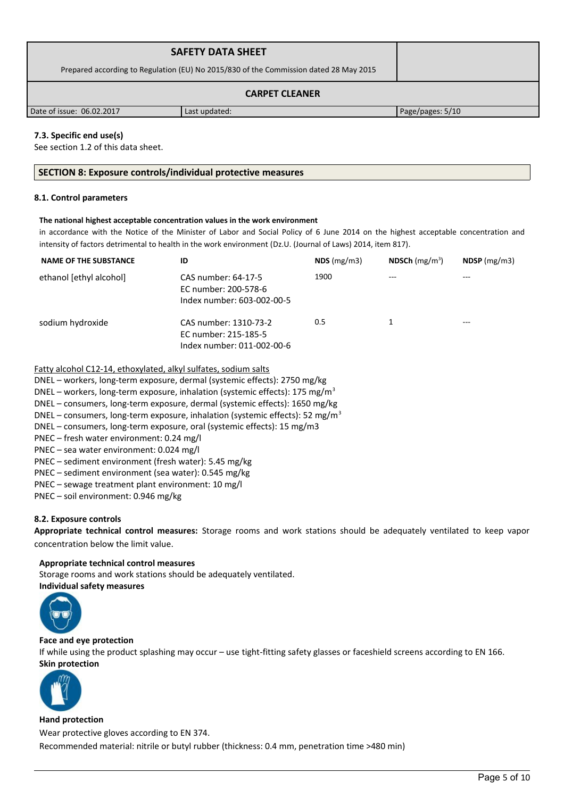|                                                                                       | <b>SAFETY DATA SHEET</b> |                  |
|---------------------------------------------------------------------------------------|--------------------------|------------------|
| Prepared according to Regulation (EU) No 2015/830 of the Commission dated 28 May 2015 |                          |                  |
| <b>CARPET CLEANER</b>                                                                 |                          |                  |
| Date of issue: 06.02.2017                                                             | Last updated:            | Page/pages: 5/10 |

## **7.3. Specific end use(s)**

See section 1.2 of this data sheet.

#### **SECTION 8: Exposure controls/individual protective measures**

#### **8.1. Control parameters**

#### **The national highest acceptable concentration values in the work environment**

in accordance with the Notice of the Minister of Labor and Social Policy of 6 June 2014 on the highest acceptable concentration and intensity of factors detrimental to health in the work environment (Dz.U. (Journal of Laws) 2014, item 817).

| <b>NAME OF THE SUBSTANCE</b> | ID                                                                          | NDS(mg/m3) | NDSCh $(mg/m^3)$ | $NDSP$ (mg/m3) |
|------------------------------|-----------------------------------------------------------------------------|------------|------------------|----------------|
| ethanol [ethyl alcohol]      | CAS number: 64-17-5<br>EC number: 200-578-6<br>Index number: 603-002-00-5   | 1900       | ---              | ---            |
| sodium hydroxide             | CAS number: 1310-73-2<br>EC number: 215-185-5<br>Index number: 011-002-00-6 | 0.5        |                  | ---            |

## Fatty alcohol C12-14, ethoxylated, alkyl sulfates, sodium salts

DNEL – workers, long-term exposure, dermal (systemic effects): 2750 mg/kg

DNEL – workers, long-term exposure, inhalation (systemic effects): 175 mg/m<sup>3</sup>

DNEL – consumers, long-term exposure, dermal (systemic effects): 1650 mg/kg

DNEL – consumers, long-term exposure, inhalation (systemic effects): 52 mg/m<sup>3</sup>

DNEL – consumers, long-term exposure, oral (systemic effects): 15 mg/m3

PNEC – fresh water environment: 0.24 mg/l

PNEC – sea water environment: 0.024 mg/l

PNEC – sediment environment (fresh water): 5.45 mg/kg

PNEC – sediment environment (sea water): 0.545 mg/kg

PNEC – sewage treatment plant environment: 10 mg/l

PNEC – soil environment: 0.946 mg/kg

#### **8.2. Exposure controls**

**Appropriate technical control measures:** Storage rooms and work stations should be adequately ventilated to keep vapor concentration below the limit value.

#### **Appropriate technical control measures**

Storage rooms and work stations should be adequately ventilated. **Individual safety measures** 



#### **Face and eye protection**

If while using the product splashing may occur – use tight-fitting safety glasses or faceshield screens according to EN 166. **Skin protection** 



#### **Hand protection**

Wear protective gloves according to EN 374.

Recommended material: nitrile or butyl rubber (thickness: 0.4 mm, penetration time >480 min)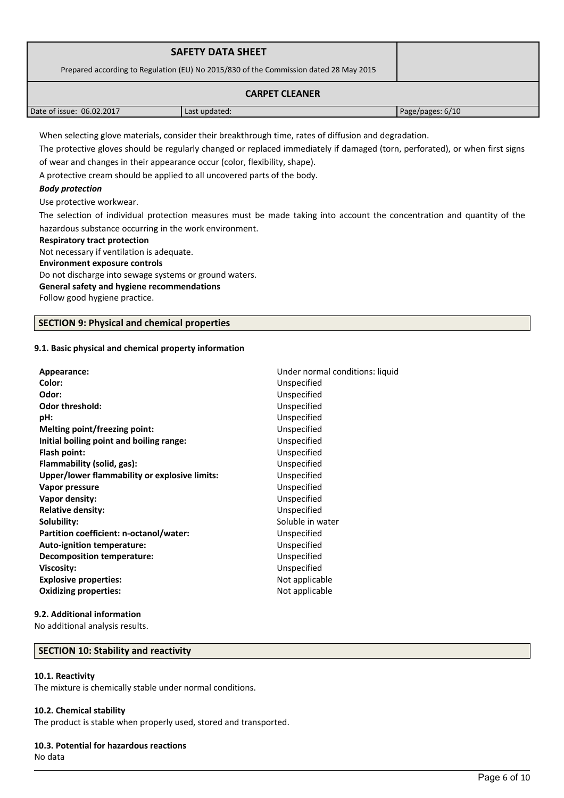|                                                                                       | <b>SAFETY DATA SHEET</b> |                  |  |
|---------------------------------------------------------------------------------------|--------------------------|------------------|--|
| Prepared according to Regulation (EU) No 2015/830 of the Commission dated 28 May 2015 |                          |                  |  |
| <b>CARPET CLEANER</b>                                                                 |                          |                  |  |
| Date of issue: 06.02.2017                                                             | Last updated:            | Page/pages: 6/10 |  |

When selecting glove materials, consider their breakthrough time, rates of diffusion and degradation.

The protective gloves should be regularly changed or replaced immediately if damaged (torn, perforated), or when first signs of wear and changes in their appearance occur (color, flexibility, shape).

A protective cream should be applied to all uncovered parts of the body.

## *Body protection*

Use protective workwear.

The selection of individual protection measures must be made taking into account the concentration and quantity of the hazardous substance occurring in the work environment.

#### **Respiratory tract protection**

Not necessary if ventilation is adequate.

**Environment exposure controls** 

Do not discharge into sewage systems or ground waters.

## **General safety and hygiene recommendations**

Follow good hygiene practice.

## **SECTION 9: Physical and chemical properties**

## **9.1. Basic physical and chemical property information**

| Appearance:                                   | Under normal conditions: liquid |  |
|-----------------------------------------------|---------------------------------|--|
| Color:                                        | Unspecified                     |  |
| Odor:                                         | Unspecified                     |  |
| <b>Odor threshold:</b>                        | Unspecified                     |  |
| pH:                                           | Unspecified                     |  |
| Melting point/freezing point:                 | Unspecified                     |  |
| Initial boiling point and boiling range:      | Unspecified                     |  |
| Flash point:                                  | Unspecified                     |  |
| Flammability (solid, gas):                    | Unspecified                     |  |
| Upper/lower flammability or explosive limits: | Unspecified                     |  |
| Vapor pressure                                | Unspecified                     |  |
| Vapor density:                                | Unspecified                     |  |
| <b>Relative density:</b>                      | Unspecified                     |  |
| Solubility:                                   | Soluble in water                |  |
| Partition coefficient: n-octanol/water:       | Unspecified                     |  |
| Auto-ignition temperature:                    | Unspecified                     |  |
| Decomposition temperature:                    | Unspecified                     |  |
| <b>Viscosity:</b>                             | Unspecified                     |  |
| <b>Explosive properties:</b>                  | Not applicable                  |  |
| <b>Oxidizing properties:</b>                  | Not applicable                  |  |
|                                               |                                 |  |

#### **9.2. Additional information**

No additional analysis results.

## **SECTION 10: Stability and reactivity**

#### **10.1. Reactivity**

The mixture is chemically stable under normal conditions.

#### **10.2. Chemical stability**

The product is stable when properly used, stored and transported.

#### **10.3. Potential for hazardous reactions**

No data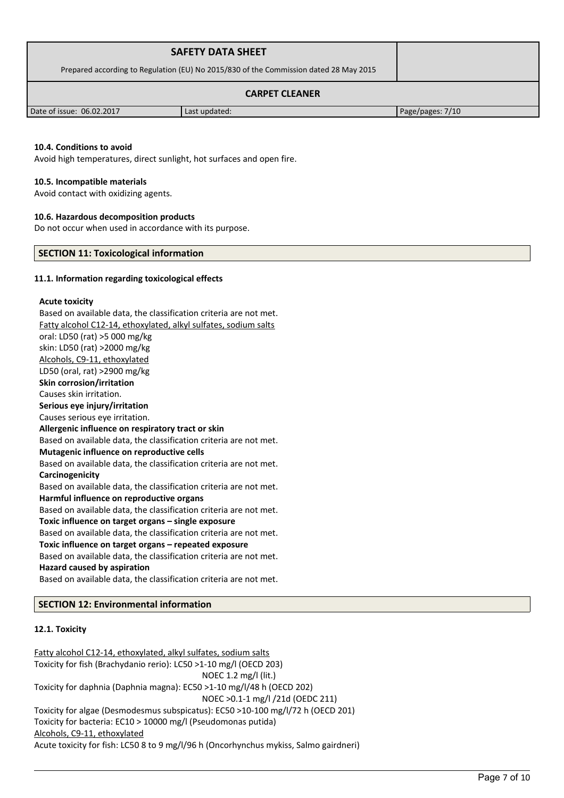|                                                                                       | <b>SAFETY DATA SHEET</b> |                  |  |
|---------------------------------------------------------------------------------------|--------------------------|------------------|--|
| Prepared according to Regulation (EU) No 2015/830 of the Commission dated 28 May 2015 |                          |                  |  |
| <b>CARPET CLEANER</b>                                                                 |                          |                  |  |
| Date of issue: 06.02.2017                                                             | Last updated:            | Page/pages: 7/10 |  |

#### **10.4. Conditions to avoid**

Avoid high temperatures, direct sunlight, hot surfaces and open fire.

#### **10.5. Incompatible materials**

Avoid contact with oxidizing agents.

#### **10.6. Hazardous decomposition products**

Do not occur when used in accordance with its purpose.

## **SECTION 11: Toxicological information**

#### **11.1. Information regarding toxicological effects**

#### **Acute toxicity**

Based on available data, the classification criteria are not met. Fatty alcohol C12-14, ethoxylated, alkyl sulfates, sodium salts oral: LD50 (rat) >5 000 mg/kg skin: LD50 (rat) >2000 mg/kg Alcohols, C9-11, ethoxylated LD50 (oral, rat) >2900 mg/kg **Skin corrosion/irritation** Causes skin irritation. **Serious eye injury/irritation** Causes serious eye irritation. **Allergenic influence on respiratory tract or skin** Based on available data, the classification criteria are not met. **Mutagenic influence on reproductive cells** Based on available data, the classification criteria are not met. **Carcinogenicity** Based on available data, the classification criteria are not met. **Harmful influence on reproductive organs** Based on available data, the classification criteria are not met. **Toxic influence on target organs – single exposure** Based on available data, the classification criteria are not met. **Toxic influence on target organs – repeated exposure** Based on available data, the classification criteria are not met. **Hazard caused by aspiration** Based on available data, the classification criteria are not met. **SECTION 12: Environmental information**

#### **12.1. Toxicity**

Fatty alcohol C12-14, ethoxylated, alkyl sulfates, sodium salts Toxicity for fish (Brachydanio rerio): LC50 >1-10 mg/l (OECD 203) NOEC 1.2 mg/l (lit.) Toxicity for daphnia (Daphnia magna): EC50 >1-10 mg/l/48 h (OECD 202) NOEC >0.1-1 mg/l /21d (OEDC 211) Toxicity for algae (Desmodesmus subspicatus): EC50 >10-100 mg/l/72 h (OECD 201) Toxicity for bacteria: EC10 > 10000 mg/l (Pseudomonas putida) Alcohols, C9-11, ethoxylated Acute toxicity for fish: LC50 8 to 9 mg/l/96 h (Oncorhynchus mykiss, Salmo gairdneri)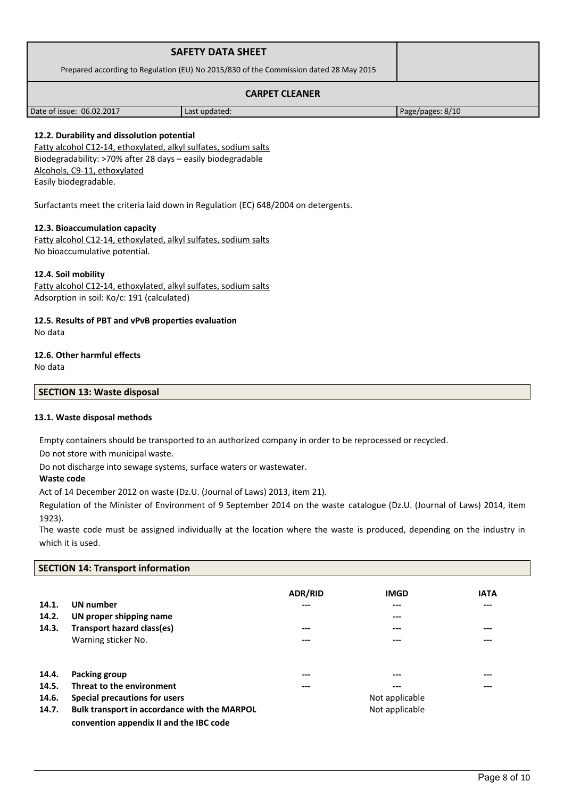|                                                                                       | <b>SAFETY DATA SHEET</b> |                  |
|---------------------------------------------------------------------------------------|--------------------------|------------------|
| Prepared according to Regulation (EU) No 2015/830 of the Commission dated 28 May 2015 |                          |                  |
| <b>CARPET CLEANER</b>                                                                 |                          |                  |
| Date of issue: 06.02.2017                                                             | Last updated:            | Page/pages: 8/10 |

# **12.2. Durability and dissolution potential**

Fatty alcohol C12-14, ethoxylated, alkyl sulfates, sodium salts Biodegradability: >70% after 28 days – easily biodegradable Alcohols, C9-11, ethoxylated Easily biodegradable.

Surfactants meet the criteria laid down in Regulation (EC) 648/2004 on detergents.

#### **12.3. Bioaccumulation capacity**

Fatty alcohol C12-14, ethoxylated, alkyl sulfates, sodium salts No bioaccumulative potential.

## **12.4. Soil mobility**

Fatty alcohol C12-14, ethoxylated, alkyl sulfates, sodium salts Adsorption in soil: Ko/c: 191 (calculated)

# **12.5. Results of PBT and vPvB properties evaluation**

No data

# **12.6. Other harmful effects**

No data

## **SECTION 13: Waste disposal**

# **13.1. Waste disposal methods**

Empty containers should be transported to an authorized company in order to be reprocessed or recycled.

Do not store with municipal waste.

Do not discharge into sewage systems, surface waters or wastewater.

## **Waste code**

Act of 14 December 2012 on waste (Dz.U. (Journal of Laws) 2013, item 21).

Regulation of the Minister of Environment of 9 September 2014 on the waste catalogue (Dz.U. (Journal of Laws) 2014, item 1923).

The waste code must be assigned individually at the location where the waste is produced, depending on the industry in which it is used.

# **SECTION 14: Transport information**

|       |                                              | <b>ADR/RID</b> | <b>IMGD</b> | <b>IATA</b> |
|-------|----------------------------------------------|----------------|-------------|-------------|
| 14.1. | <b>UN</b> number                             | ---            | $---$       | ---         |
| 14.2. | UN proper shipping name                      |                | $---$       |             |
| 14.3. | Transport hazard class(es)                   | ---            | ---         | ---         |
|       | Warning sticker No.                          | ---            | ---         | ---         |
|       |                                              |                |             |             |
| 14.4. | <b>Packing group</b>                         | ---            | ---         | ---         |
| 14.5. | Threat to the environment                    | ---            | $---$       | ---         |
| 14.6. | Special precautions for users                | Not applicable |             |             |
| 14.7. | Bulk transport in accordance with the MARPOL | Not applicable |             |             |
|       | convention appendix II and the IBC code      |                |             |             |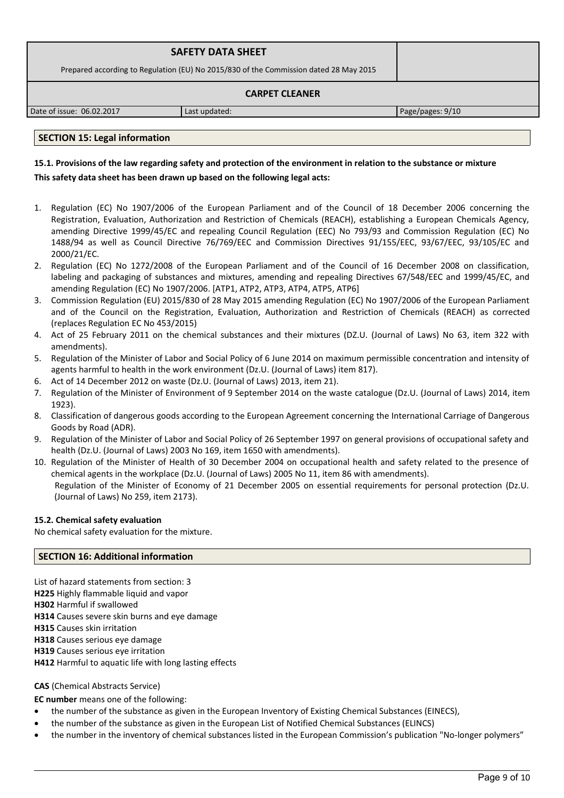| <b>SAFETY DATA SHEET</b>                                                              |  |  |  |  |
|---------------------------------------------------------------------------------------|--|--|--|--|
| Prepared according to Regulation (EU) No 2015/830 of the Commission dated 28 May 2015 |  |  |  |  |
| <b>CARPET CLEANER</b>                                                                 |  |  |  |  |

Date of issue: 06.02.2017 Last updated: Page/pages: 9/10

## **SECTION 15: Legal information**

# **15.1. Provisions of the law regarding safety and protection of the environment in relation to the substance or mixture This safety data sheet has been drawn up based on the following legal acts:**

- 1. Regulation (EC) No 1907/2006 of the European Parliament and of the Council of 18 December 2006 concerning the Registration, Evaluation, Authorization and Restriction of Chemicals (REACH), establishing a European Chemicals Agency, amending Directive 1999/45/EC and repealing Council Regulation (EEC) No 793/93 and Commission Regulation (EC) No 1488/94 as well as Council Directive 76/769/EEC and Commission Directives 91/155/EEC, 93/67/EEC, 93/105/EC and 2000/21/EC.
- 2. Regulation (EC) No 1272/2008 of the European Parliament and of the Council of 16 December 2008 on classification, labeling and packaging of substances and mixtures, amending and repealing Directives 67/548/EEC and 1999/45/EC, and amending Regulation (EC) No 1907/2006. [ATP1, ATP2, ATP3, ATP4, ATP5, ATP6]
- 3. Commission Regulation (EU) 2015/830 of 28 May 2015 amending Regulation (EC) No 1907/2006 of the European Parliament and of the Council on the Registration, Evaluation, Authorization and Restriction of Chemicals (REACH) as corrected (replaces Regulation EC No 453/2015)
- 4. Act of 25 February 2011 on the chemical substances and their mixtures (DZ.U. (Journal of Laws) No 63, item 322 with amendments).
- 5. Regulation of the Minister of Labor and Social Policy of 6 June 2014 on maximum permissible concentration and intensity of agents harmful to health in the work environment (Dz.U. (Journal of Laws) item 817).
- 6. Act of 14 December 2012 on waste (Dz.U. (Journal of Laws) 2013, item 21).
- 7. Regulation of the Minister of Environment of 9 September 2014 on the waste catalogue (Dz.U. (Journal of Laws) 2014, item 1923).
- 8. Classification of dangerous goods according to the European Agreement concerning the International Carriage of Dangerous Goods by Road (ADR).
- 9. Regulation of the Minister of Labor and Social Policy of 26 September 1997 on general provisions of occupational safety and health (Dz.U. (Journal of Laws) 2003 No 169, item 1650 with amendments).
- 10. Regulation of the Minister of Health of 30 December 2004 on occupational health and safety related to the presence of chemical agents in the workplace (Dz.U. (Journal of Laws) 2005 No 11, item 86 with amendments). Regulation of the Minister of Economy of 21 December 2005 on essential requirements for personal protection (Dz.U. (Journal of Laws) No 259, item 2173).

## **15.2. Chemical safety evaluation**

No chemical safety evaluation for the mixture.

# **SECTION 16: Additional information**

List of hazard statements from section: 3 **H225** Highly flammable liquid and vapor **H302** Harmful if swallowed **H314** Causes severe skin burns and eye damage **H315** Causes skin irritation **H318** Causes serious eye damage **H319** Causes serious eye irritation **H412** Harmful to aquatic life with long lasting effects

# **CAS** (Chemical Abstracts Service)

**EC number** means one of the following:

- the number of the substance as given in the European Inventory of Existing Chemical Substances (EINECS),
- the number of the substance as given in the European List of Notified Chemical Substances (ELINCS)
- the number in the inventory of chemical substances listed in the European Commission's publication "No-longer polymers"